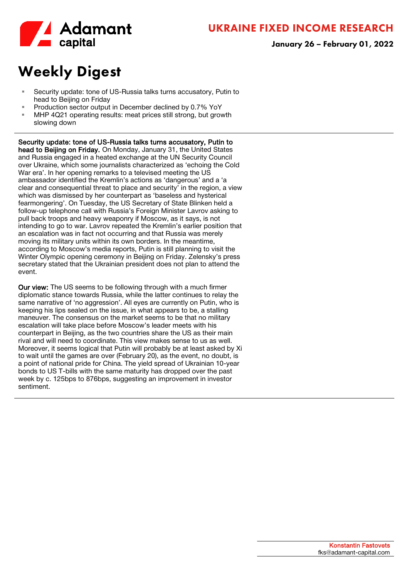

# Weekly Digest

- Security update: tone of US-Russia talks turns accusatory, Putin to head to Beijing on Friday
- **Production sector output in December declined by 0.7% YoY**
- MHP 4Q21 operating results: meat prices still strong, but growth slowing down

 Security update: tone of US-Russia talks turns accusatory, Putin to head to Beijing on Friday. On Monday, January 31, the United States and Russia engaged in a heated exchange at the UN Security Council over Ukraine, which some journalists characterized as 'echoing the Cold War era'. In her opening remarks to a televised meeting the US ambassador identified the Kremlin's actions as 'dangerous' and a 'a clear and consequential threat to place and security' in the region, a view which was dismissed by her counterpart as 'baseless and hysterical fearmongering'. On Tuesday, the US Secretary of State Blinken held a follow-up telephone call with Russia's Foreign Minister Lavrov asking to pull back troops and heavy weaponry if Moscow, as it says, is not intending to go to war. Lavrov repeated the Kremlin's earlier position that an escalation was in fact not occurring and that Russia was merely moving its military units within its own borders. In the meantime, according to Moscow's media reports, Putin is still planning to visit the Winter Olympic opening ceremony in Beijing on Friday. Zelensky's press secretary stated that the Ukrainian president does not plan to attend the event.

Our view: The US seems to be following through with a much firmer diplomatic stance towards Russia, while the latter continues to relay the same narrative of 'no aggression'. All eyes are currently on Putin, who is keeping his lips sealed on the issue, in what appears to be, a stalling maneuver. The consensus on the market seems to be that no military escalation will take place before Moscow's leader meets with his counterpart in Beijing, as the two countries share the US as their main rival and will need to coordinate. This view makes sense to us as well. Moreover, it seems logical that Putin will probably be at least asked by Xi to wait until the games are over (February 20), as the event, no doubt, is a point of national pride for China. The yield spread of Ukrainian 10-year bonds to US T-bills with the same maturity has dropped over the past week by c. 125bps to 876bps, suggesting an improvement in investor sentiment.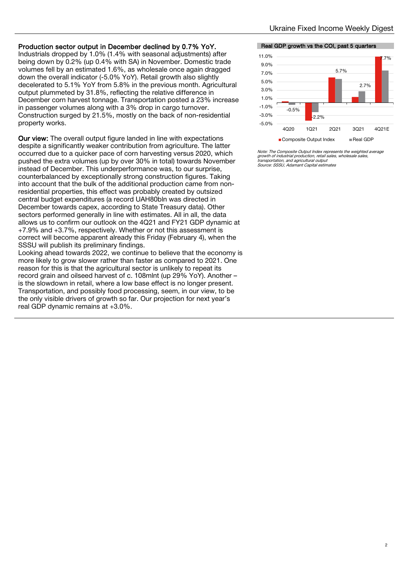### Production sector output in December declined by 0.7% YoY.

Industrials dropped by 1.0% (1.4% with seasonal adjustments) after being down by 0.2% (up 0.4% with SA) in November. Domestic trade volumes fell by an estimated 1.6%, as wholesale once again dragged down the overall indicator (-5.0% YoY). Retail growth also slightly decelerated to 5.1% YoY from 5.8% in the previous month. Agricultural output plummeted by 31.8%, reflecting the relative difference in December corn harvest tonnage. Transportation posted a 23% increase in passenger volumes along with a 3% drop in cargo turnover. Construction surged by 21.5%, mostly on the back of non-residential property works.

Our view: The overall output figure landed in line with expectations despite a significantly weaker contribution from agriculture. The latter occurred due to a quicker pace of corn harvesting versus 2020, which pushed the extra volumes (up by over 30% in total) towards November instead of December. This underperformance was, to our surprise, counterbalanced by exceptionally strong construction figures. Taking into account that the bulk of the additional production came from nonresidential properties, this effect was probably created by outsized central budget expenditures (a record UAH80bln was directed in December towards capex, according to State Treasury data). Other sectors performed generally in line with estimates. All in all, the data allows us to confirm our outlook on the 4Q21 and FY21 GDP dynamic at +7.9% and +3.7%, respectively. Whether or not this assessment is correct will become apparent already this Friday (February 4), when the SSSU will publish its preliminary findings.

Looking ahead towards 2022, we continue to believe that the economy is more likely to grow slower rather than faster as compared to 2021. One reason for this is that the agricultural sector is unlikely to repeat its record grain and oilseed harvest of c. 108mlnt (up 29% YoY). Another – is the slowdown in retail, where a low base effect is no longer present. Transportation, and possibly food processing, seem, in our view, to be the only visible drivers of growth so far. Our projection for next year's real GDP dynamic remains at +3.0%.

#### Real GDP growth vs the COI, past 5 quarters



Note: The Composite Output Index represents the weighted average wole. The composite calpar mask represents the wagrowth of industrial production, retail sales, wholesal transportation, and agricultural output Source: SSSU, Adamant Capital estimates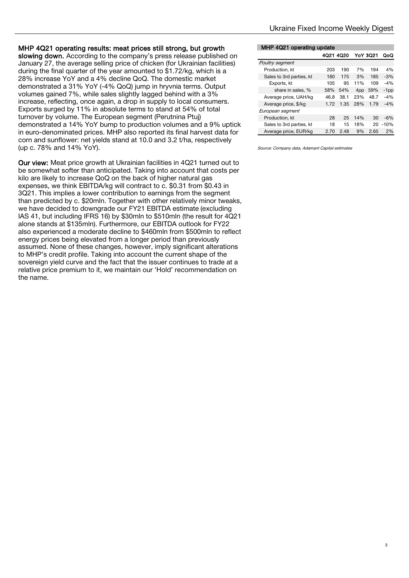### MHP 4Q21 operating results: meat prices still strong, but growth

slowing down. According to the company's press release published on January 27, the average selling price of chicken (for Ukrainian facilities) during the final quarter of the year amounted to \$1.72/kg, which is a 28% increase YoY and a 4% decline QoQ. The domestic market demonstrated a 31% YoY (-4% QoQ) jump in hryvnia terms. Output volumes gained 7%, while sales slightly lagged behind with a 3% increase, reflecting, once again, a drop in supply to local consumers. Exports surged by 11% in absolute terms to stand at 54% of total turnover by volume. The European segment (Perutnina Ptuj) demonstrated a 14% YoY bump to production volumes and a 9% uptick in euro-denominated prices. MHP also reported its final harvest data for corn and sunflower: net yields stand at 10.0 and 3.2 t/ha, respectively (up c. 78% and 14% YoY).

Our view: Meat price growth at Ukrainian facilities in 4Q21 turned out to be somewhat softer than anticipated. Taking into account that costs per kilo are likely to increase QoQ on the back of higher natural gas expenses, we think EBITDA/kg will contract to c. \$0.31 from \$0.43 in 3Q21. This implies a lower contribution to earnings from the segment than predicted by c. \$20mln. Together with other relatively minor tweaks, we have decided to downgrade our FY21 EBITDA estimate (excluding IAS 41, but including IFRS 16) by \$30mln to \$510mln (the result for 4Q21 alone stands at \$135mln). Furthermore, our EBITDA outlook for FY22 also experienced a moderate decline to \$460mln from \$500mln to reflect energy prices being elevated from a longer period than previously assumed. None of these changes, however, imply significant alterations to MHP's credit profile. Taking into account the current shape of the sovereign yield curve and the fact that the issuer continues to trade at a relative price premium to it, we maintain our 'Hold' recommendation on the name.

### MHP 4Q21 operating update

|                          | 4Q21 4Q20 |      |     | <b>YoY 3021</b> | റഹ      |
|--------------------------|-----------|------|-----|-----------------|---------|
| Poultry segment          |           |      |     |                 |         |
| Production, kt           | 203       | 190  | 7%  | 194             | 4%      |
| Sales to 3rd parties, kt | 180       | 175  | 3%  | 185             | $-3%$   |
| Exports, kt              | 105       | 95   | 11% | 109             | $-4%$   |
| share in sales, %        | 58%       | 54%  | 4pp | 59%             | $-1$ pp |
| Average price, UAH/kg    | 46.8      | 38.1 | 23% | 48.7            | $-4%$   |
| Average price, \$/kg     | 1.72      | 1.35 | 28% | 1.79            | $-4%$   |
| European segment         |           |      |     |                 |         |
| Production, kt           | 28        | 25   | 14% | 30              | $-6%$   |
| Sales to 3rd parties, kt | 18        | 15   | 18% | 20              | $-10%$  |
| Average price, EUR/kg    | 2.70      | 2.48 | 9%  | 2.65            | 2%      |

Source: Company data, Adamant Capital estimates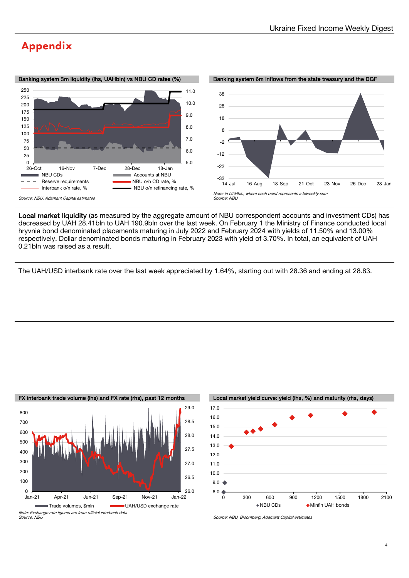### Appendix





Local market liquidity (as measured by the aggregate amount of NBU correspondent accounts and investment CDs) has decreased by UAH 28.41bln to UAH 190.9bln over the last week. On February 1 the Ministry of Finance conducted local hryvnia bond denominated placements maturing in July 2022 and February 2024 with yields of 11.50% and 13.00% respectively. Dollar denominated bonds maturing in February 2023 with yield of 3.70%. In total, an equivalent of UAH 0.21bln was raised as a result.

The UAH/USD interbank rate over the last week appreciated by 1.64%, starting out with 28.36 and ending at 28.83.







Source: NBU, Bloomberg, Adamant Capital estimates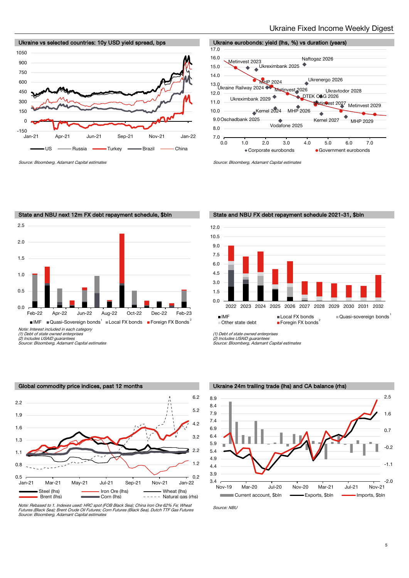



Source: Bloomberg, Adamant Capital estimates Source: Bloomberg, Adamant Capital estimates



(2) Includes USAID guarantees Source: Bloomberg, Adamant Capital estimates



Note: Rebased to 1. Indexes used: HRC spot (FOB Black Sea); China Iron Ore 62% Fe; Wheat Futures (Black Sea); Brent Crude Oil Futures; Corn Futures (Black Sea), Dutch TTF Gas Futures Source: Bloomberg, Adamant Capital estimates

State and NBU next 12m FX debt repayment schedule, \$bln State and NBU FX debt repayment schedule 2021-31, \$bln



(1) Debt of state owned enterprises

(2) Includes USAID guarantees Source: Bloomberg, Adamant Capital estimates





Source: NBU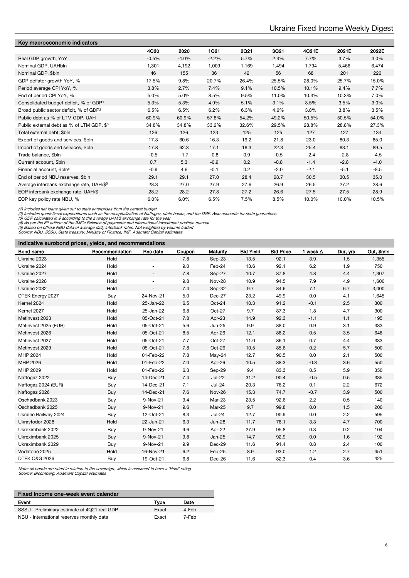| Key macroeconomic indicators                         |         |         |             |             |        |        |         |         |
|------------------------------------------------------|---------|---------|-------------|-------------|--------|--------|---------|---------|
|                                                      | 4Q20    | 2020    | <b>1Q21</b> | <b>2Q21</b> | 3Q21   | 4Q21E  | 2021E   | 2022E   |
| Real GDP growth, YoY                                 | $-0.5%$ | $-4.0%$ | $-2.2%$     | 5.7%        | 2.4%   | 7.7%   | 3.7%    | 3.0%    |
| Nominal GDP, UAHbln                                  | 1,301   | 4,192   | 1,009       | 1,169       | 1,494  | 1,794  | 5,466   | 6,474   |
| Nominal GDP, \$bln                                   | 46      | 155     | 36          | 42          | 56     | 68     | 201     | 226     |
| GDP deflator growth YoY, %                           | 17.5%   | 9.8%    | 20.7%       | 26.4%       | 25.5%  | 28.0%  | 25.7%   | 15.0%   |
| Period average CPI YoY, %                            | 3.8%    | 2.7%    | 7.4%        | 9.1%        | 10.5%  | 10.1%  | $9.4\%$ | $7.7\%$ |
| End of period CPI YoY, %                             | 5.0%    | 5.0%    | 8.5%        | 9.5%        | 11.0%  | 10.3%  | 10.3%   | 7.0%    |
| Consolidated budget deficit, % of GDP <sup>1</sup>   | 5.3%    | 5.3%    | 4.9%        | 5.1%        | 3.1%   | 3.5%   | 3.5%    | 3.0%    |
| Broad public sector deficit, % of GDP <sup>2</sup>   | 6.5%    | 6.5%    | 6.2%        | 6.3%        | 4.6%   | 3.8%   | 3.8%    | 3.5%    |
| Public debt as % of LTM GDP, UAH                     | 60.9%   | 60.9%   | 57.8%       | 54.2%       | 49.2%  | 50.5%  | 50.5%   | 54.0%   |
| Public external debt as % of LTM GDP, \$3            | 34.8%   | 34.8%   | 33.2%       | 32.6%       | 29.5%  | 28.8%  | 28.8%   | 27.3%   |
| Total external debt, \$bln                           | 126     | 126     | 123         | 125         | 125    | 127    | 127     | 134     |
| Export of goods and services, \$bln                  | 17.3    | 60.6    | 16.3        | 19.2        | 21.8   | 23.0   | 80.3    | 85.0    |
| Import of goods and services, \$bln                  | 17.8    | 62.3    | 17.1        | 18.3        | 22.3   | 25.4   | 83.1    | 89.5    |
| Trade balance, \$bln                                 | $-0.5$  | $-1.7$  | $-0.8$      | 0.9         | $-0.5$ | $-2.4$ | $-2.8$  | $-4.5$  |
| Current account, \$bln                               | 0.7     | 5.3     | $-0.9$      | 0.2         | $-0.8$ | $-1.4$ | $-2.8$  | $-4.0$  |
| Financial account, \$bln <sup>4</sup>                | $-0.9$  | 4.6     | $-0.1$      | 0.2         | $-2.0$ | $-2.1$ | $-5.1$  | $-8.5$  |
| End of period NBU reserves, \$bln                    | 29.1    | 29.1    | 27.0        | 28.4        | 28.7   | 30.5   | 30.5    | 35.0    |
| Average interbank exchange rate, UAH/\$ <sup>5</sup> | 28.3    | 27.0    | 27.9        | 27.6        | 26.9   | 26.5   | 27.2    | 28.6    |
| EOP interbank exchange rate, UAH/\$                  | 28.2    | 28.2    | 27.8        | 27.2        | 26.6   | 27.5   | 27.5    | 28.9    |
| EOP key policy rate NBU, %                           | 6.0%    | 6.0%    | 6.5%        | 7.5%        | 8.5%   | 10.0%  | 10.0%   | 10.5%   |
|                                                      |         |         |             |             |        |        |         |         |

(1) Includes net loans given out to state enterprises from the central budget<br>(2) Includes quasi-fiscal expenditures such as the recapitalization of Naftogaz, state banks, and the DGF. Also accounts for state guarantees.<br>(

#### Indicative eurobond prices, yields, and recommendations

| Bond name                | Recommendation | Rec date                 | Coupon | Maturity      | <b>Bid Yield</b> | <b>Bid Price</b> | 1 week $\Delta$ | Dur, yrs | Out, \$min |
|--------------------------|----------------|--------------------------|--------|---------------|------------------|------------------|-----------------|----------|------------|
| Ukraine 2023             | Hold           |                          | 7.8    | Sep-23        | 13.5             | 92.1             | 3.9             | 1.5      | 1,355      |
| Ukraine 2024             | Hold           | $\sim$                   | 9.0    | Feb-24        | 13.6             | 92.1             | 6.2             | 1.9      | 750        |
| Ukraine 2027             | Hold           | $\overline{\phantom{a}}$ | 7.8    | Sep-27        | 10.7             | 87.8             | 4.8             | 4.4      | 1,307      |
| Ukraine 2028             | Hold           |                          | 9.8    | Nov-28        | 10.9             | 94.5             | 7.9             | 4.9      | 1,600      |
| Ukraine 2032             | Hold           | $\overline{\phantom{a}}$ | 7.4    | Sep-32        | 9.7              | 84.6             | 7.1             | 6.7      | 3,000      |
| DTEK Energy 2027         | Buy            | 24-Nov-21                | 5.0    | $Dec-27$      | 23.2             | 49.9             | 0.0             | 4.1      | 1,645      |
| Kernel 2024              | Hold           | 25-Jan-22                | 6.5    | Oct-24        | 10.3             | 91.2             | $-0.1$          | 2.5      | 300        |
| Kernel 2027              | Hold           | 25-Jan-22                | 6.8    | Oct-27        | 9.7              | 87.3             | 1.8             | 4.7      | 300        |
| Metinvest 2023           | Hold           | 05-Oct-21                | 7.8    | Apr-23        | 14.9             | 92.3             | $-1.1$          | 1.1      | 195        |
| Metinvest 2025 (EUR)     | Hold           | 05-Oct-21                | 5.6    | Jun-25        | 9.9              | 88.0             | 0.9             | 3.1      | 333        |
| Metinvest 2026           | Hold           | 05-Oct-21                | 8.5    | Apr-26        | 12.1             | 88.2             | 0.5             | 3.5      | 648        |
| Metinvest 2027           | Hold           | 05-Oct-21                | 7.7    | Oct-27        | 11.0             | 86.1             | 0.7             | 4.4      | 333        |
| Metinvest 2029           | Hold           | 05-Oct-21                | 7.8    | Oct-29        | 10.5             | 85.6             | 0.2             | 5.7      | 500        |
| MHP 2024                 | Hold           | 01-Feb-22                | 7.8    | $May-24$      | 12.7             | 90.5             | 0.0             | 2.1      | 500        |
| MHP 2026                 | Hold           | 01-Feb-22                | 7.0    | Apr-26        | 10.5             | 88.3             | $-0.3$          | 3.6      | 550        |
| MHP 2029                 | Hold           | 01-Feb-22                | 6.3    | Sep-29        | 9.4              | 83.3             | 0.5             | 5.9      | 350        |
| Naftogaz 2022            | Buy            | 14-Dec-21                | 7.4    | $Jul-22$      | 31.2             | 90.4             | $-0.5$          | 0.5      | 335        |
| Naftogaz 2024 (EUR)      | Buy            | 14-Dec-21                | 7.1    | $Jul-24$      | 20.3             | 76.2             | 0.1             | 2.2      | 672        |
| Naftogaz 2026            | Buy            | 14-Dec-21                | 7.6    | <b>Nov-26</b> | 15.3             | 74.7             | $-0.7$          | 3.9      | 500        |
| Oschadbank 2023          | Buy            | 9-Nov-21                 | 9.4    | Mar-23        | 23.5             | 92.6             | 2.2             | 0.5      | 140        |
| Oschadbank 2025          | Buy            | 9-Nov-21                 | 9.6    | Mar-25        | 9.7              | 99.8             | 0.0             | 1.5      | 200        |
| Ukraine Railway 2024     | Buy            | 12-Oct-21                | 8.3    | $Jul-24$      | 12.7             | 90.9             | 0.0             | 2.2      | 595        |
| Ukravtodor 2028          | Hold           | 22-Jun-21                | 6.3    | <b>Jun-28</b> | 11.7             | 78.1             | 3.3             | 4.7      | 700        |
| Ukreximbank 2022         | Buy            | 9-Nov-21                 | 9.6    | Apr-22        | 27.9             | 95.8             | 0.3             | 0.2      | 104        |
| Ukreximbank 2025         | Buy            | 9-Nov-21                 | 9.8    | $Jan-25$      | 14.7             | 92.9             | 0.0             | 1.6      | 192        |
| Ukreximbank 2029         | Buy            | 9-Nov-21                 | 9.9    | $Dec-29$      | 11.6             | 91.4             | 0.8             | 2.4      | 100        |
| Vodafone 2025            | Hold           | 16-Nov-21                | 6.2    | Feb-25        | 8.9              | 93.0             | 1.2             | 2.7      | 451        |
| <b>DTEK O&amp;G 2026</b> | Buy            | 19-Oct-21                | 6.8    | Dec-26        | 11.6             | 82.3             | 0.4             | 3.6      | 425        |

Note: all bonds are rated in relation to the sovereign, which is assumed to have a 'Hold' rating Source: Bloomberg, Adamant Capital estimates

| Fixed Income one-week event calendar         |       |       |  |  |  |  |  |  |
|----------------------------------------------|-------|-------|--|--|--|--|--|--|
| Event                                        | Type  | Date  |  |  |  |  |  |  |
| SSSU - Preliminary estimate of 4Q21 real GDP | Exact | 4-Feb |  |  |  |  |  |  |
| NBU - International reserves monthly data    | Exact | 7-Feb |  |  |  |  |  |  |